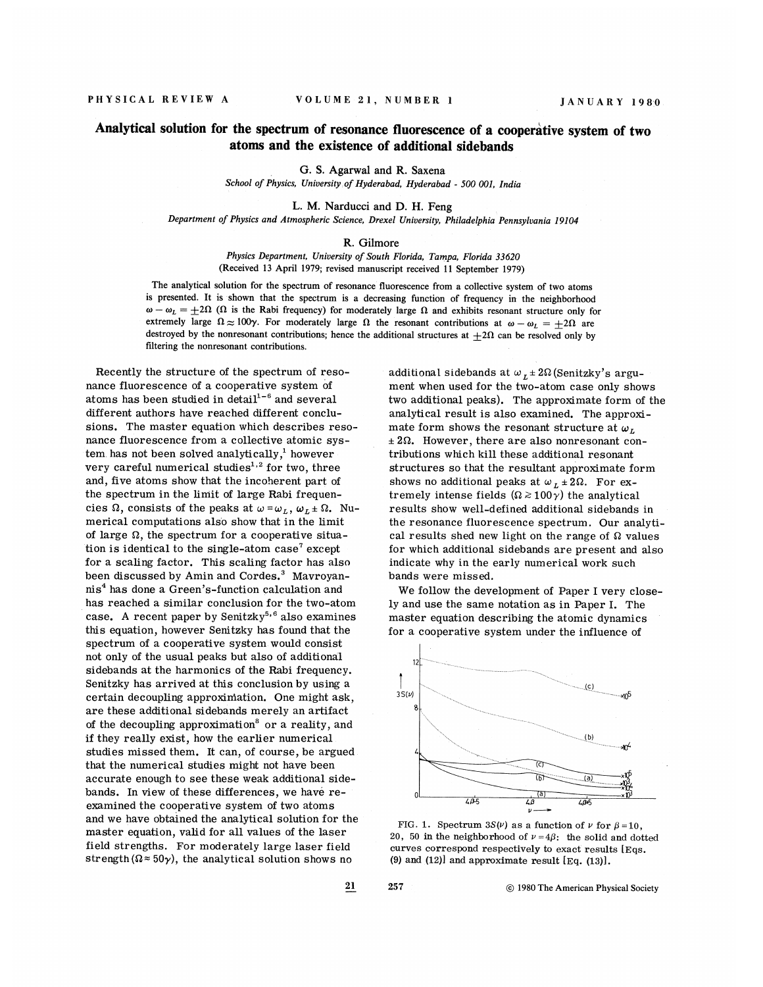## Analytical solution for the spectrum of resonance fluorescence of a cooperative system of two atoms and the existence of additional sidebands

G. S. Agarwal and R. Saxena School of Physics, University of Hyderabad, Hyderabad - 500 001, India

L. M. Narducci and D. H. Feng

Department of Physics and Atmospheric Science, Drexel University, Philadelphia Pennsylvania )9104

## R. Gilmore

Physics Department, University of South Florida, Tampa, Florida 33620 (Received 13 April 1979; revised manuscript received 11 September 1979)

The analytical solution for the spectrum of resonance fluorescence from a collective system of two atoms is presented. It is shown that the spectrum is a decreasing function of frequency in the neighborhood  $\omega - \omega_L = +2\Omega$  ( $\Omega$  is the Rabi frequency) for moderately large  $\Omega$  and exhibits resonant structure only for extremely large  $\Omega \approx 100\gamma$ . For moderately large  $\Omega$  the resonant contributions at  $\omega - \omega_L = +2\Omega$  are destroyed by the nonresonant contributions; hence the additional structures at  $\pm 2\Omega$  can be resolved only by filtering the nonresonant contributions.

Recently the structure of the spectrum of resonance fluorescence of a cooperative system of nance ridorescence or a cooperative system or<br>atoms has been studied in detail<sup>1-6</sup> and severa different authors have reached different conclusions. The master equation which describes resonance fluorescence from a collective atomic sys $t_{\text{em.}}$  has not been solved analytically, $\frac{1}{2}$  however very careful numerical studies<sup> $1,2$ </sup> for two, three and, five atoms show that the incoherent part of the spectrum in the limit of large Rabi frequencies  $\Omega$ , consists of the peaks at  $\omega = \omega_L$ ,  $\omega_L \pm \Omega$ . Numerical computations also show that in the limit of large  $\Omega$ , the spectrum for a cooperative situation is identical to the single-atom case' except for a scaling factor. This scaling factor has also been discussed by Amin and Cordes.<sup>3</sup> Mavroyannis has done a Green's-function calculation and has reached a similar conclusion for the two-atom case. A recent paper by Senitzky<sup>5,6</sup> also examines this equation, however Senitzky has found that the spectrum of a cooperative system would consist not only of the usual peaks but also of additional sidebands at the harmonics of the Rabi frequency. Senitzky has arrived at this conclusion by using a certain decoupling approximation. One might ask, are these additional sidebands merely an artifact of the decoupling approximation' or a reality, and if they really exist, how the earlier numerical studies missed them. It can, of course, be argued that the numerical studies might not have been accurate enough to see these weak additional sidebands. In view of these differences, we have reexamined the cooperative system of two atoms and we have obtained the analytical solution for the master equation, valid for all values of the laser field strengths. For moderately large laser field strength ( $\Omega \approx 50\gamma$ ), the analytical solution shows no

additional sidebands at  $\omega_L \pm 2\Omega$  (Senitzky's argument when used for the two-atom case only shows two additional peaks). The approximate form of the analytical result is also examined. The approximate form shows the resonant structure at  $\omega_L$  $\pm 2\Omega$ . However, there are also nonresonant contributions which kill these additional resonant structures so that the resultant approximate form shows no additional peaks at  $\omega_L \pm 2\Omega$ . For extremely intense fields  $(\Omega \ge 100\gamma)$  the analytical results show well-defined additional sidebands in the resonance fluorescence spectrum. Our analytical results shed new light on the range of  $\Omega$  values for which additional sidebands are present and also indicate why in the early numerical work such bands were missed.

We follow the development of Paper I very closely and use the same notation as in Paper I. The master equation describing the atomic dynamics for a cooperative system under the influence of



FIG. 1. Spectrum  $3S(\nu)$  as a function of  $\nu$  for  $\beta = 10$ , 20, 50 in the neighborhood of  $\nu = 4\beta$ : the solid and dotted curves correspond respectively to exact results lEqs. (9) and  $(12)$  and approximate result  $Eq. (13)$ .

21 1980The American Physical Society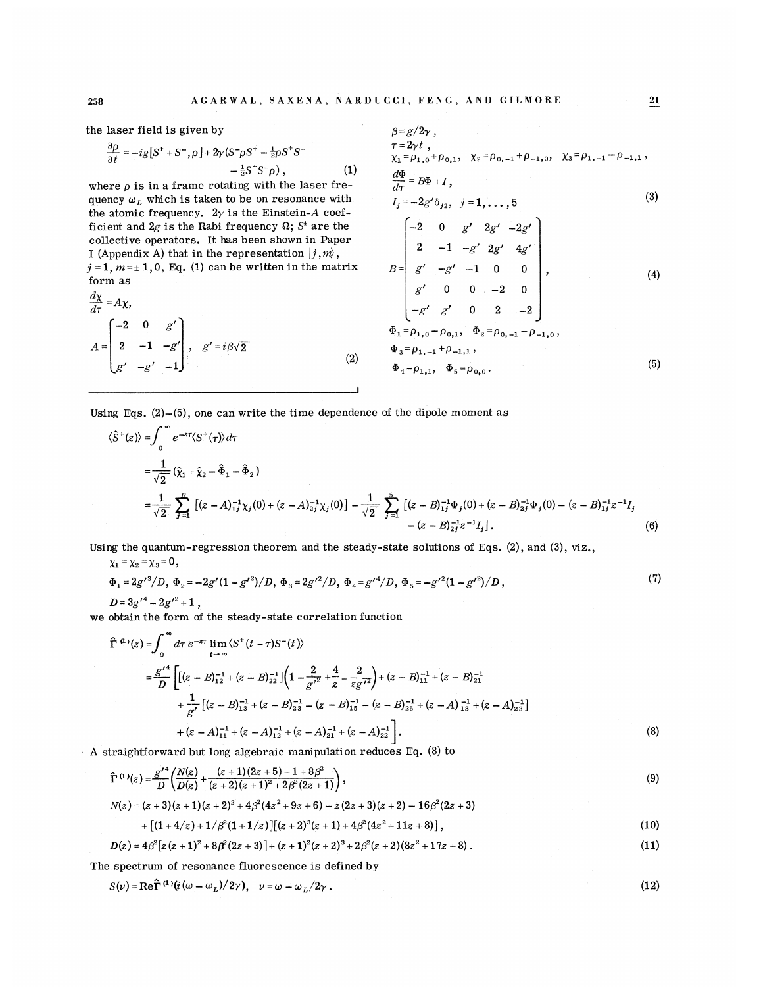the laser field is given by

$$
\frac{\partial \rho}{\partial t} = -ig[S^+ + S^- , \rho] + 2\gamma (S^- \rho S^+ - \frac{1}{2}\rho S^+ S^- - \frac{1}{2}S^+ S^- \rho), \qquad (1)
$$

where  $\rho$  is in a frame rotating with the laser frequency  $\omega_L$  which is taken to be on resonance with the atomic frequency.  $2\gamma$  is the Einstein-A coefficient and 2g is the Rabi frequency  $\Omega$ ; S<sup>t</sup> are the collective operators. It has been shown in Paper I (Appendix A) that in the representation  $\vert j, m \rangle$ ,  $j = 1, m = \pm 1, 0$ , Eq. (1) can be written in the matrix form as

$$
\frac{d\chi}{d\tau} = A\chi,
$$
\n
$$
A = \begin{bmatrix} -2 & 0 & g' \\ 2 & -1 & -g' \\ g' & -g' & -1 \end{bmatrix}, \quad g' = i\beta\sqrt{2}
$$
\n(2)

$$
\beta = g/2\gamma ,\n\tau = 2\gamma t ,\n\chi_1 = \rho_{1,0} + \rho_{0,1}, \quad \chi_2 = \rho_{0,-1} + \rho_{-1,0}, \quad \chi_3 = \rho_{1,-1} - \rho_{-1,1} ,\n\frac{d\Phi}{d\tau} = B\Phi + I,\nI_j = -2g'\delta_{j2}, \quad j = 1, ..., 5
$$
\n(3)

$$
B = \begin{bmatrix}\n-2 & 0 & g' & 2g' & -2g' \\
2 & -1 & -g' & 2g' & 4g' \\
g' & -g' & -1 & 0 & 0 \\
g' & 0 & 0 & -2 & 0 \\
-g' & g' & 0 & 2 & -2\n\end{bmatrix},
$$
\n(4)  
\n
$$
\Phi_1 = \rho_{1,0} - \rho_{0,1}, \quad \Phi_2 = \rho_{0,-1} - \rho_{-1,0},
$$
\n
$$
\Phi_3 = \rho_{1,-1} + \rho_{-1,1},
$$
\n
$$
\Phi_4 = \rho_{1,1}, \quad \Phi_5 = \rho_{0,0}.
$$
\n(5)

Using Eqs.  $(2)-(5)$ , one can write the time dependence of the dipole moment as

$$
\langle \hat{S}^{+}(z) \rangle = \int_{0}^{\infty} e^{-z\tau} \langle S^{+}(\tau) \rangle d\tau
$$
  
\n
$$
= \frac{1}{\sqrt{2}} (\hat{\chi}_{1} + \hat{\chi}_{2} - \hat{\Phi}_{1} - \hat{\Phi}_{2})
$$
  
\n
$$
= \frac{1}{\sqrt{2}} \sum_{j=1}^{B} \left[ (z - A)_{1j}^{-1} \chi_{j}(0) + (z - A)_{2j}^{-1} \chi_{j}(0) \right] - \frac{1}{\sqrt{2}} \sum_{j=1}^{5} \left[ (z - B)_{1j}^{-1} \Phi_{j}(0) + (z - B)_{2j}^{-1} \Phi_{j}(0) - (z - B)_{1j}^{-1} z^{-1} I_{j} \right]
$$
  
\n
$$
- (z - B)_{2j}^{-1} z^{-1} I_{j}]. \tag{6}
$$

Using the quantum-regression theorem and the steady-state solutions of Eqs. (2), and (3), viz. ,

$$
\chi_1 = \chi_2 = \chi_3 = 0, \n\Phi_1 = 2g'^3/D, \Phi_2 = -2g'(1 - g'^2)/D, \Phi_3 = 2g'^2/D, \Phi_4 = g'^4/D, \Phi_5 = -g'^2(1 - g'^2)/D,
$$
\n(7)

 $D=3g'^4-2g'^2+1$ ,

we obtain the form of the steady-state correlation function

$$
\hat{\Gamma}^{(1)}(z) = \int_0^\infty d\tau \ e^{-z\tau} \lim_{t \to \infty} \langle S^+(t + \tau)S^-(t) \rangle
$$
\n
$$
= \frac{g'^4}{D} \left[ \left[ (z - B)_{12}^{-1} + (z - B)_{22}^{-1} \right] \left( 1 - \frac{2}{g'^2} + \frac{4}{z} - \frac{2}{zg'^2} \right) + (z - B)_{11}^{-1} + (z - B)_{21}^{-1} + \frac{1}{g'} \left[ (z - B)_{13}^{-1} + (z - B)_{23}^{-1} - (z - B)_{15}^{-1} - (z - B)_{25}^{-1} + (z - A)_{13}^{-1} + (z - A)_{23}^{-1} \right] + (z - A)_{11}^{-1} + (z - A)_{12}^{-1} + (z - A)_{21}^{-1} + (z - A)_{22}^{-1} \right].
$$
\n(8)

A straightforward but long algebraic manipulation reduces Eq. (8) to

$$
\hat{\Gamma}^{(1)}(z) = \frac{\mathcal{S}'}{D} \left( \frac{N(z)}{D(z)} + \frac{(z+1)(2z+5) + 1 + 8\beta^2}{(z+2)(z+1)^2 + 2\beta^2(2z+1)} \right),
$$
\n(9)

$$
N(z) = (z + 3)(z + 1)(z + 2)^2 + 4\beta^2(4z^2 + 9z + 6) - z(2z + 3)(z + 2) - 16\beta^2(2z + 3)
$$

$$
+ [(1+4/z) + 1/\beta^2(1+1/z)][(z+2)^3(z+1) + 4\beta^2(4z^2+11z+8)], \qquad (10)
$$

$$
D(z) = 4\beta^2 [z(z+1)^2 + 8\beta^2 (2z+3)] + (z+1)^2 (z+2)^3 + 2\beta^2 (z+2)(8z^2+17z+8).
$$
 (11)

The spectrum of resonance fluorescence is defined by

$$
S(\nu) = \text{Re}\,\hat{\Gamma}^{(1)}(i(\omega - \omega_L)/2\gamma), \quad \nu = \omega - \omega_L/2\gamma. \tag{12}
$$